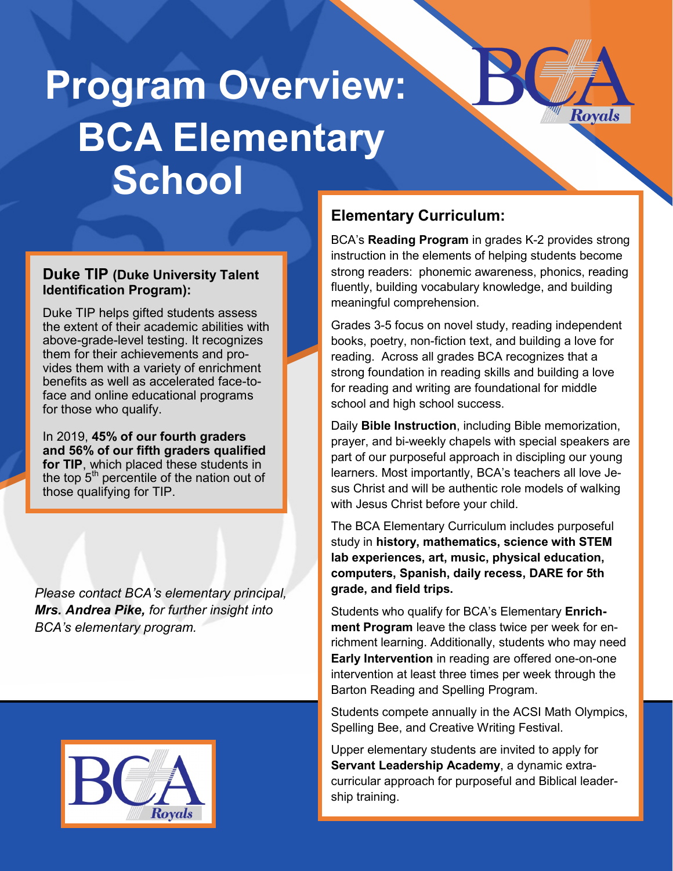# **Program Overview: BCA Elementary School**

#### **Duke TIP (Duke University Talent Identification Program):**

Duke TIP helps gifted students assess the extent of their academic abilities with above-grade-level testing. It recognizes them for their achievements and provides them with a variety of enrichment benefits as well as accelerated face-toface and online educational programs for those who qualify.

In 2019, **45% of our fourth graders and 56% of our fifth graders qualified for TIP**, which placed these students in the top  $5<sup>th</sup>$  percentile of the nation out of those qualifying for TIP.

*Please contact BCA's elementary principal, Mrs. Andrea Pike, for further insight into BCA's elementary program.*



## **Elementary Curriculum:**

BCA's **Reading Program** in grades K-2 provides strong instruction in the elements of helping students become strong readers: phonemic awareness, phonics, reading fluently, building vocabulary knowledge, and building meaningful comprehension.

Royals

Grades 3-5 focus on novel study, reading independent books, poetry, non-fiction text, and building a love for reading. Across all grades BCA recognizes that a strong foundation in reading skills and building a love for reading and writing are foundational for middle school and high school success.

Daily **Bible Instruction**, including Bible memorization, prayer, and bi-weekly chapels with special speakers are part of our purposeful approach in discipling our young learners. Most importantly, BCA's teachers all love Jesus Christ and will be authentic role models of walking with Jesus Christ before your child.

The BCA Elementary Curriculum includes purposeful study in **history, mathematics, science with STEM lab experiences, art, music, physical education, computers, Spanish, daily recess, DARE for 5th grade, and field trips.**

Students who qualify for BCA's Elementary **Enrichment Program** leave the class twice per week for enrichment learning. Additionally, students who may need **Early Intervention** in reading are offered one-on-one intervention at least three times per week through the Barton Reading and Spelling Program.

Students compete annually in the ACSI Math Olympics, Spelling Bee, and Creative Writing Festival.

Upper elementary students are invited to apply for **Servant Leadership Academy**, a dynamic extracurricular approach for purposeful and Biblical leadership training.